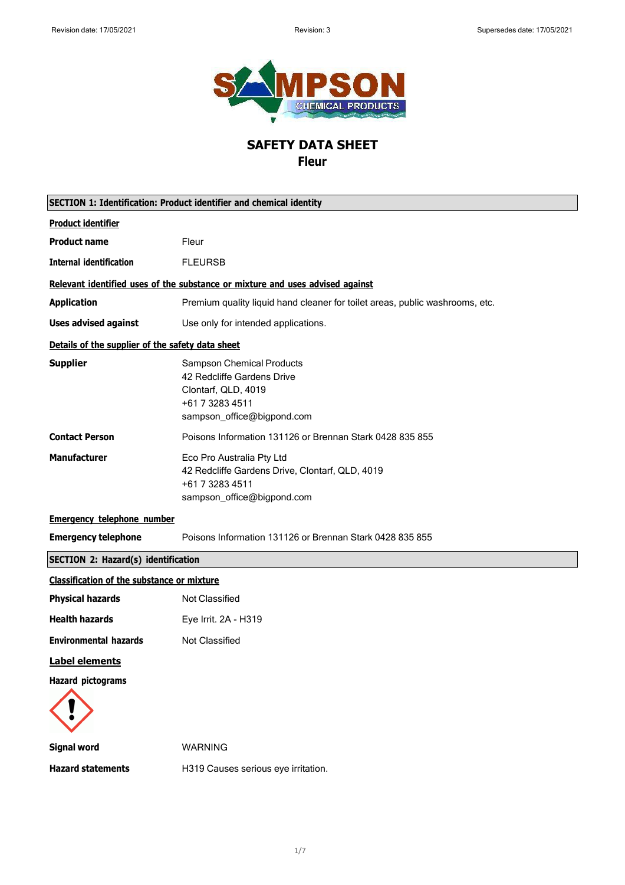

# **SAFETY DATA SHEET**

**Fleur**

| <b>SECTION 1: Identification: Product identifier and chemical identity</b> |                                                                                                                                        |
|----------------------------------------------------------------------------|----------------------------------------------------------------------------------------------------------------------------------------|
| <b>Product identifier</b>                                                  |                                                                                                                                        |
| <b>Product name</b>                                                        | Fleur                                                                                                                                  |
| <b>Internal identification</b>                                             | <b>FLEURSB</b>                                                                                                                         |
|                                                                            | Relevant identified uses of the substance or mixture and uses advised against                                                          |
| <b>Application</b>                                                         | Premium quality liquid hand cleaner for toilet areas, public washrooms, etc.                                                           |
| <b>Uses advised against</b>                                                | Use only for intended applications.                                                                                                    |
| Details of the supplier of the safety data sheet                           |                                                                                                                                        |
| <b>Supplier</b>                                                            | <b>Sampson Chemical Products</b><br>42 Redcliffe Gardens Drive<br>Clontarf, QLD, 4019<br>+61 7 3283 4511<br>sampson_office@bigpond.com |
| <b>Contact Person</b>                                                      | Poisons Information 131126 or Brennan Stark 0428 835 855                                                                               |
| <b>Manufacturer</b>                                                        | Eco Pro Australia Pty Ltd<br>42 Redcliffe Gardens Drive, Clontarf, QLD, 4019<br>+61 7 3283 4511<br>sampson_office@bigpond.com          |
| <b>Emergency telephone number</b>                                          |                                                                                                                                        |
| <b>Emergency telephone</b>                                                 | Poisons Information 131126 or Brennan Stark 0428 835 855                                                                               |
| <b>SECTION 2: Hazard(s) identification</b>                                 |                                                                                                                                        |
| <b>Classification of the substance or mixture</b>                          |                                                                                                                                        |
| <b>Physical hazards</b>                                                    | Not Classified                                                                                                                         |
| <b>Health hazards</b>                                                      | Eye Irrit. 2A - H319                                                                                                                   |
| <b>Environmental hazards</b>                                               | <b>Not Classified</b>                                                                                                                  |
| <b>Label elements</b>                                                      |                                                                                                                                        |
| <b>Hazard pictograms</b>                                                   |                                                                                                                                        |
| <b>Signal word</b>                                                         | <b>WARNING</b>                                                                                                                         |
| <b>Hazard statements</b>                                                   | H319 Causes serious eye irritation.                                                                                                    |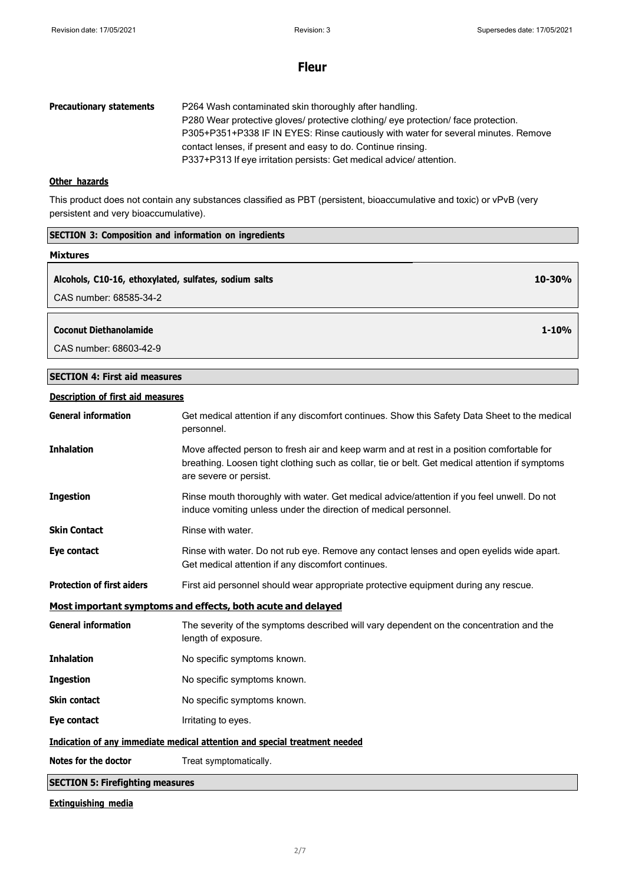| <b>Precautionary statements</b> | P264 Wash contaminated skin thoroughly after handling.                             |
|---------------------------------|------------------------------------------------------------------------------------|
|                                 | P280 Wear protective gloves/ protective clothing/ eye protection/ face protection. |
|                                 | P305+P351+P338 IF IN EYES: Rinse cautiously with water for several minutes. Remove |
|                                 | contact lenses, if present and easy to do. Continue rinsing.                       |
|                                 | P337+P313 If eye irritation persists: Get medical advice/attention.                |

## **Other hazards**

This product does not contain any substances classified as PBT (persistent, bioaccumulative and toxic) or vPvB (very persistent and very bioaccumulative).

| <b>SECTION 3: Composition and information on ingredients</b> |            |
|--------------------------------------------------------------|------------|
| <b>Mixtures</b>                                              |            |
| Alcohols, C10-16, ethoxylated, sulfates, sodium salts        | $10 - 30%$ |
| CAS number: 68585-34-2                                       |            |
|                                                              |            |
| <b>Coconut Diethanolamide</b>                                | $1 - 10%$  |
| CAS number: 68603-42-9                                       |            |

## **SECTION 4: First aid measures**

## **Description of first aid measures**

| <b>General information</b>                                                 | Get medical attention if any discomfort continues. Show this Safety Data Sheet to the medical<br>personnel.                                                                                                            |
|----------------------------------------------------------------------------|------------------------------------------------------------------------------------------------------------------------------------------------------------------------------------------------------------------------|
| <b>Inhalation</b>                                                          | Move affected person to fresh air and keep warm and at rest in a position comfortable for<br>breathing. Loosen tight clothing such as collar, tie or belt. Get medical attention if symptoms<br>are severe or persist. |
| <b>Ingestion</b>                                                           | Rinse mouth thoroughly with water. Get medical advice/attention if you feel unwell. Do not<br>induce vomiting unless under the direction of medical personnel.                                                         |
| <b>Skin Contact</b>                                                        | Rinse with water.                                                                                                                                                                                                      |
| Eye contact                                                                | Rinse with water. Do not rub eye. Remove any contact lenses and open eyelids wide apart.<br>Get medical attention if any discomfort continues.                                                                         |
| <b>Protection of first aiders</b>                                          | First aid personnel should wear appropriate protective equipment during any rescue.                                                                                                                                    |
| Most important symptoms and effects, both acute and delayed                |                                                                                                                                                                                                                        |
| <b>General information</b>                                                 | The severity of the symptoms described will vary dependent on the concentration and the<br>length of exposure.                                                                                                         |
| <b>Inhalation</b>                                                          | No specific symptoms known.                                                                                                                                                                                            |
| <b>Ingestion</b>                                                           | No specific symptoms known.                                                                                                                                                                                            |
| <b>Skin contact</b>                                                        | No specific symptoms known.                                                                                                                                                                                            |
| Eye contact                                                                | Irritating to eyes.                                                                                                                                                                                                    |
| Indication of any immediate medical attention and special treatment needed |                                                                                                                                                                                                                        |
| Notes for the doctor                                                       | Treat symptomatically.                                                                                                                                                                                                 |
| <b>SECTION 5: Firefighting measures</b>                                    |                                                                                                                                                                                                                        |

## **Extinguishing media**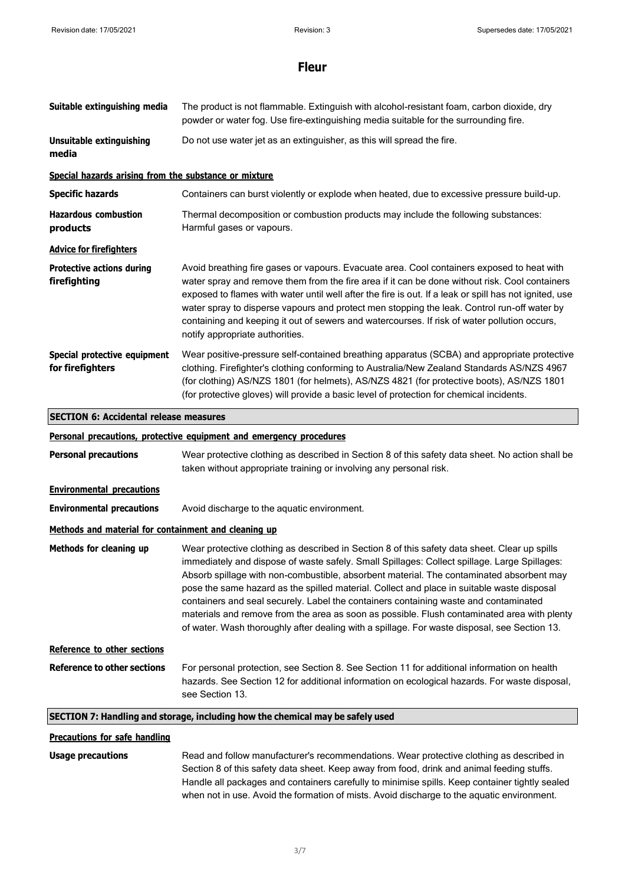| Suitable extinguishing media                          | The product is not flammable. Extinguish with alcohol-resistant foam, carbon dioxide, dry<br>powder or water fog. Use fire-extinguishing media suitable for the surrounding fire.                                                                                                                                                                                                                                                                                                                                                                                                                                                                                              |
|-------------------------------------------------------|--------------------------------------------------------------------------------------------------------------------------------------------------------------------------------------------------------------------------------------------------------------------------------------------------------------------------------------------------------------------------------------------------------------------------------------------------------------------------------------------------------------------------------------------------------------------------------------------------------------------------------------------------------------------------------|
| <b>Unsuitable extinguishing</b><br>media              | Do not use water jet as an extinguisher, as this will spread the fire.                                                                                                                                                                                                                                                                                                                                                                                                                                                                                                                                                                                                         |
| Special hazards arising from the substance or mixture |                                                                                                                                                                                                                                                                                                                                                                                                                                                                                                                                                                                                                                                                                |
| <b>Specific hazards</b>                               | Containers can burst violently or explode when heated, due to excessive pressure build-up.                                                                                                                                                                                                                                                                                                                                                                                                                                                                                                                                                                                     |
| <b>Hazardous combustion</b><br>products               | Thermal decomposition or combustion products may include the following substances:<br>Harmful gases or vapours.                                                                                                                                                                                                                                                                                                                                                                                                                                                                                                                                                                |
| <b>Advice for firefighters</b>                        |                                                                                                                                                                                                                                                                                                                                                                                                                                                                                                                                                                                                                                                                                |
| <b>Protective actions during</b><br>firefighting      | Avoid breathing fire gases or vapours. Evacuate area. Cool containers exposed to heat with<br>water spray and remove them from the fire area if it can be done without risk. Cool containers<br>exposed to flames with water until well after the fire is out. If a leak or spill has not ignited, use<br>water spray to disperse vapours and protect men stopping the leak. Control run-off water by<br>containing and keeping it out of sewers and watercourses. If risk of water pollution occurs,<br>notify appropriate authorities.                                                                                                                                       |
| Special protective equipment<br>for firefighters      | Wear positive-pressure self-contained breathing apparatus (SCBA) and appropriate protective<br>clothing. Firefighter's clothing conforming to Australia/New Zealand Standards AS/NZS 4967<br>(for clothing) AS/NZS 1801 (for helmets), AS/NZS 4821 (for protective boots), AS/NZS 1801<br>(for protective gloves) will provide a basic level of protection for chemical incidents.                                                                                                                                                                                                                                                                                             |
| <b>SECTION 6: Accidental release measures</b>         |                                                                                                                                                                                                                                                                                                                                                                                                                                                                                                                                                                                                                                                                                |
|                                                       | Personal precautions, protective equipment and emergency procedures                                                                                                                                                                                                                                                                                                                                                                                                                                                                                                                                                                                                            |
| <b>Personal precautions</b>                           | Wear protective clothing as described in Section 8 of this safety data sheet. No action shall be<br>taken without appropriate training or involving any personal risk.                                                                                                                                                                                                                                                                                                                                                                                                                                                                                                         |
| <b>Environmental precautions</b>                      |                                                                                                                                                                                                                                                                                                                                                                                                                                                                                                                                                                                                                                                                                |
| <b>Environmental precautions</b>                      | Avoid discharge to the aquatic environment.                                                                                                                                                                                                                                                                                                                                                                                                                                                                                                                                                                                                                                    |
| Methods and material for containment and cleaning up  |                                                                                                                                                                                                                                                                                                                                                                                                                                                                                                                                                                                                                                                                                |
| Methods for cleaning up                               | Wear protective clothing as described in Section 8 of this safety data sheet. Clear up spills<br>immediately and dispose of waste safely. Small Spillages: Collect spillage. Large Spillages:<br>Absorb spillage with non-combustible, absorbent material. The contaminated absorbent may<br>pose the same hazard as the spilled material. Collect and place in suitable waste disposal<br>containers and seal securely. Label the containers containing waste and contaminated<br>materials and remove from the area as soon as possible. Flush contaminated area with plenty<br>of water. Wash thoroughly after dealing with a spillage. For waste disposal, see Section 13. |
| Reference to other sections                           |                                                                                                                                                                                                                                                                                                                                                                                                                                                                                                                                                                                                                                                                                |
| <b>Reference to other sections</b>                    | For personal protection, see Section 8. See Section 11 for additional information on health<br>hazards. See Section 12 for additional information on ecological hazards. For waste disposal,<br>see Section 13.                                                                                                                                                                                                                                                                                                                                                                                                                                                                |
|                                                       | SECTION 7: Handling and storage, including how the chemical may be safely used                                                                                                                                                                                                                                                                                                                                                                                                                                                                                                                                                                                                 |
| <b>Precautions for safe handling</b>                  |                                                                                                                                                                                                                                                                                                                                                                                                                                                                                                                                                                                                                                                                                |
| <b>Usage precautions</b>                              | Read and follow manufacturer's recommendations. Wear protective clothing as described in<br>Section 8 of this safety data sheet. Keep away from food, drink and animal feeding stuffs.                                                                                                                                                                                                                                                                                                                                                                                                                                                                                         |

Handle all packages and containers carefully to minimise spills. Keep container tightly sealed when not in use. Avoid the formation of mists. Avoid discharge to the aquatic environment.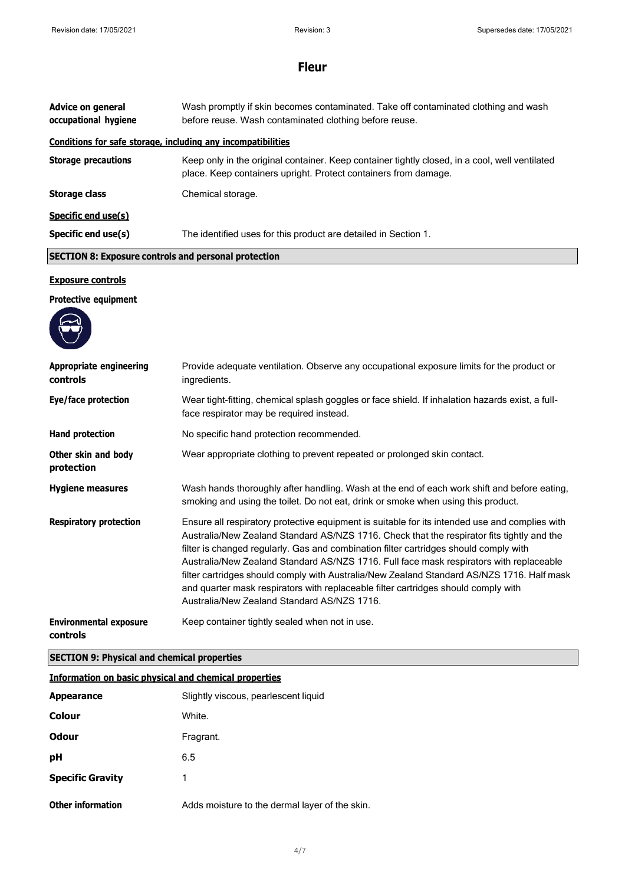| <b>Advice on general</b><br>occupational hygiene             | Wash promptly if skin becomes contaminated. Take off contaminated clothing and wash<br>before reuse. Wash contaminated clothing before reuse.                                                                                                                                                                                                                                                                                                                                                                                                                                                                       |  |
|--------------------------------------------------------------|---------------------------------------------------------------------------------------------------------------------------------------------------------------------------------------------------------------------------------------------------------------------------------------------------------------------------------------------------------------------------------------------------------------------------------------------------------------------------------------------------------------------------------------------------------------------------------------------------------------------|--|
| Conditions for safe storage, including any incompatibilities |                                                                                                                                                                                                                                                                                                                                                                                                                                                                                                                                                                                                                     |  |
| <b>Storage precautions</b>                                   | Keep only in the original container. Keep container tightly closed, in a cool, well ventilated<br>place. Keep containers upright. Protect containers from damage.                                                                                                                                                                                                                                                                                                                                                                                                                                                   |  |
| <b>Storage class</b>                                         | Chemical storage.                                                                                                                                                                                                                                                                                                                                                                                                                                                                                                                                                                                                   |  |
| Specific end use(s)                                          |                                                                                                                                                                                                                                                                                                                                                                                                                                                                                                                                                                                                                     |  |
| Specific end use(s)                                          | The identified uses for this product are detailed in Section 1.                                                                                                                                                                                                                                                                                                                                                                                                                                                                                                                                                     |  |
|                                                              | <b>SECTION 8: Exposure controls and personal protection</b>                                                                                                                                                                                                                                                                                                                                                                                                                                                                                                                                                         |  |
| <b>Exposure controls</b>                                     |                                                                                                                                                                                                                                                                                                                                                                                                                                                                                                                                                                                                                     |  |
| <b>Protective equipment</b>                                  |                                                                                                                                                                                                                                                                                                                                                                                                                                                                                                                                                                                                                     |  |
|                                                              |                                                                                                                                                                                                                                                                                                                                                                                                                                                                                                                                                                                                                     |  |
| <b>Appropriate engineering</b><br>controls                   | Provide adequate ventilation. Observe any occupational exposure limits for the product or<br>ingredients.                                                                                                                                                                                                                                                                                                                                                                                                                                                                                                           |  |
| Eye/face protection                                          | Wear tight-fitting, chemical splash goggles or face shield. If inhalation hazards exist, a full-<br>face respirator may be required instead.                                                                                                                                                                                                                                                                                                                                                                                                                                                                        |  |
| <b>Hand protection</b>                                       | No specific hand protection recommended.                                                                                                                                                                                                                                                                                                                                                                                                                                                                                                                                                                            |  |
| Other skin and body<br>protection                            | Wear appropriate clothing to prevent repeated or prolonged skin contact.                                                                                                                                                                                                                                                                                                                                                                                                                                                                                                                                            |  |
| <b>Hygiene measures</b>                                      | Wash hands thoroughly after handling. Wash at the end of each work shift and before eating,<br>smoking and using the toilet. Do not eat, drink or smoke when using this product.                                                                                                                                                                                                                                                                                                                                                                                                                                    |  |
| <b>Respiratory protection</b>                                | Ensure all respiratory protective equipment is suitable for its intended use and complies with<br>Australia/New Zealand Standard AS/NZS 1716. Check that the respirator fits tightly and the<br>filter is changed regularly. Gas and combination filter cartridges should comply with<br>Australia/New Zealand Standard AS/NZS 1716. Full face mask respirators with replaceable<br>filter cartridges should comply with Australia/New Zealand Standard AS/NZS 1716. Half mask<br>and quarter mask respirators with replaceable filter cartridges should comply with<br>Australia/New Zealand Standard AS/NZS 1716. |  |
| <b>Environmental exposure</b><br>controls                    | Keep container tightly sealed when not in use.                                                                                                                                                                                                                                                                                                                                                                                                                                                                                                                                                                      |  |

# **SECTION 9: Physical and chemical properties**

| <b>Information on basic physical and chemical properties</b> |                                                |
|--------------------------------------------------------------|------------------------------------------------|
| <b>Appearance</b>                                            | Slightly viscous, pearlescent liquid           |
| Colour                                                       | White.                                         |
| Odour                                                        | Fragrant.                                      |
| рH                                                           | 6.5                                            |
| <b>Specific Gravity</b>                                      | 1                                              |
| <b>Other information</b>                                     | Adds moisture to the dermal layer of the skin. |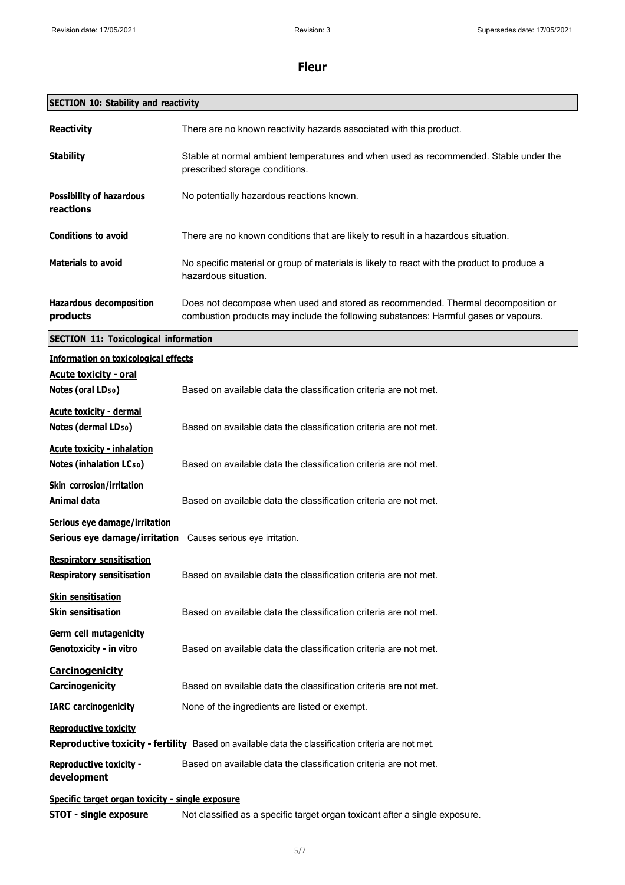| <b>SECTION 10: Stability and reactivity</b>                          |                                                                                                                                                                         |
|----------------------------------------------------------------------|-------------------------------------------------------------------------------------------------------------------------------------------------------------------------|
| <b>Reactivity</b>                                                    | There are no known reactivity hazards associated with this product.                                                                                                     |
| <b>Stability</b>                                                     | Stable at normal ambient temperatures and when used as recommended. Stable under the<br>prescribed storage conditions.                                                  |
| <b>Possibility of hazardous</b><br>reactions                         | No potentially hazardous reactions known.                                                                                                                               |
| <b>Conditions to avoid</b>                                           | There are no known conditions that are likely to result in a hazardous situation.                                                                                       |
| <b>Materials to avoid</b>                                            | No specific material or group of materials is likely to react with the product to produce a<br>hazardous situation.                                                     |
| <b>Hazardous decomposition</b><br>products                           | Does not decompose when used and stored as recommended. Thermal decomposition or<br>combustion products may include the following substances: Harmful gases or vapours. |
| <b>SECTION 11: Toxicological information</b>                         |                                                                                                                                                                         |
| <b>Information on toxicological effects</b>                          |                                                                                                                                                                         |
| <b>Acute toxicity - oral</b><br>Notes (oral LD <sub>50</sub> )       | Based on available data the classification criteria are not met.                                                                                                        |
| <b>Acute toxicity - dermal</b><br>Notes (dermal LD <sub>50</sub> )   | Based on available data the classification criteria are not met.                                                                                                        |
| <b>Acute toxicity - inhalation</b><br>Notes (inhalation LCso)        | Based on available data the classification criteria are not met.                                                                                                        |
| <b>Skin corrosion/irritation</b><br>Animal data                      | Based on available data the classification criteria are not met.                                                                                                        |
| Serious eye damage/irritation<br>Serious eye damage/irritation       | Causes serious eye irritation.                                                                                                                                          |
| <b>Respiratory sensitisation</b><br><b>Respiratory sensitisation</b> | Based on available data the classification criteria are not met.                                                                                                        |
| <b>Skin sensitisation</b><br><b>Skin sensitisation</b>               | Based on available data the classification criteria are not met.                                                                                                        |
| Germ cell mutagenicity<br>Genotoxicity - in vitro                    | Based on available data the classification criteria are not met.                                                                                                        |
| <b>Carcinogenicity</b><br>Carcinogenicity                            | Based on available data the classification criteria are not met.                                                                                                        |
| <b>IARC</b> carcinogenicity                                          | None of the ingredients are listed or exempt.                                                                                                                           |
| <b>Reproductive toxicity</b>                                         | Reproductive toxicity - fertility Based on available data the classification criteria are not met.                                                                      |
| <b>Reproductive toxicity -</b><br>development                        | Based on available data the classification criteria are not met.                                                                                                        |
| Specific target organ toxicity - single exposure                     |                                                                                                                                                                         |
| <b>STOT - single exposure</b>                                        | Not classified as a specific target organ toxicant after a single exposure.                                                                                             |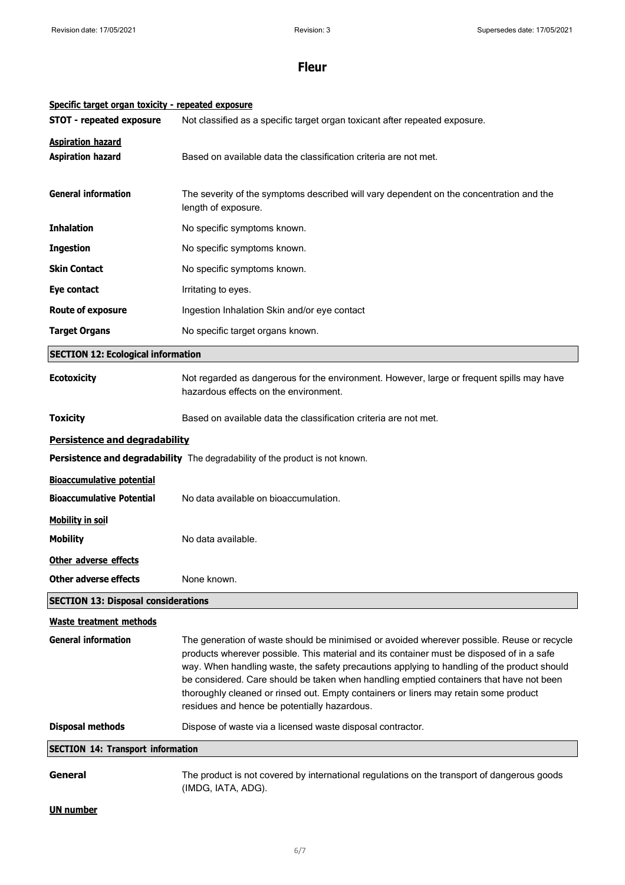| Specific target organ toxicity - repeated exposure |                                                                                                                                                                                                                                                                                                                                                                                                                                                                                                                           |
|----------------------------------------------------|---------------------------------------------------------------------------------------------------------------------------------------------------------------------------------------------------------------------------------------------------------------------------------------------------------------------------------------------------------------------------------------------------------------------------------------------------------------------------------------------------------------------------|
| <b>STOT - repeated exposure</b>                    | Not classified as a specific target organ toxicant after repeated exposure.                                                                                                                                                                                                                                                                                                                                                                                                                                               |
| <b>Aspiration hazard</b>                           |                                                                                                                                                                                                                                                                                                                                                                                                                                                                                                                           |
| <b>Aspiration hazard</b>                           | Based on available data the classification criteria are not met.                                                                                                                                                                                                                                                                                                                                                                                                                                                          |
| <b>General information</b>                         | The severity of the symptoms described will vary dependent on the concentration and the<br>length of exposure.                                                                                                                                                                                                                                                                                                                                                                                                            |
| <b>Inhalation</b>                                  | No specific symptoms known.                                                                                                                                                                                                                                                                                                                                                                                                                                                                                               |
| <b>Ingestion</b>                                   | No specific symptoms known.                                                                                                                                                                                                                                                                                                                                                                                                                                                                                               |
| <b>Skin Contact</b>                                | No specific symptoms known.                                                                                                                                                                                                                                                                                                                                                                                                                                                                                               |
| Eye contact                                        | Irritating to eyes.                                                                                                                                                                                                                                                                                                                                                                                                                                                                                                       |
| <b>Route of exposure</b>                           | Ingestion Inhalation Skin and/or eye contact                                                                                                                                                                                                                                                                                                                                                                                                                                                                              |
| <b>Target Organs</b>                               | No specific target organs known.                                                                                                                                                                                                                                                                                                                                                                                                                                                                                          |
| <b>SECTION 12: Ecological information</b>          |                                                                                                                                                                                                                                                                                                                                                                                                                                                                                                                           |
| <b>Ecotoxicity</b>                                 | Not regarded as dangerous for the environment. However, large or frequent spills may have<br>hazardous effects on the environment.                                                                                                                                                                                                                                                                                                                                                                                        |
| <b>Toxicity</b>                                    | Based on available data the classification criteria are not met.                                                                                                                                                                                                                                                                                                                                                                                                                                                          |
| Persistence and degradability                      |                                                                                                                                                                                                                                                                                                                                                                                                                                                                                                                           |
|                                                    | Persistence and degradability The degradability of the product is not known.                                                                                                                                                                                                                                                                                                                                                                                                                                              |
| <b>Bioaccumulative potential</b>                   |                                                                                                                                                                                                                                                                                                                                                                                                                                                                                                                           |
| <b>Bioaccumulative Potential</b>                   | No data available on bioaccumulation.                                                                                                                                                                                                                                                                                                                                                                                                                                                                                     |
| <b>Mobility in soil</b>                            |                                                                                                                                                                                                                                                                                                                                                                                                                                                                                                                           |
| <b>Mobility</b>                                    | No data available.                                                                                                                                                                                                                                                                                                                                                                                                                                                                                                        |
| Other adverse effects                              |                                                                                                                                                                                                                                                                                                                                                                                                                                                                                                                           |
| <b>Other adverse effects</b>                       | None known.                                                                                                                                                                                                                                                                                                                                                                                                                                                                                                               |
| <b>SECTION 13: Disposal considerations</b>         |                                                                                                                                                                                                                                                                                                                                                                                                                                                                                                                           |
| <b>Waste treatment methods</b>                     |                                                                                                                                                                                                                                                                                                                                                                                                                                                                                                                           |
| <b>General information</b>                         | The generation of waste should be minimised or avoided wherever possible. Reuse or recycle<br>products wherever possible. This material and its container must be disposed of in a safe<br>way. When handling waste, the safety precautions applying to handling of the product should<br>be considered. Care should be taken when handling emptied containers that have not been<br>thoroughly cleaned or rinsed out. Empty containers or liners may retain some product<br>residues and hence be potentially hazardous. |
| <b>Disposal methods</b>                            | Dispose of waste via a licensed waste disposal contractor.                                                                                                                                                                                                                                                                                                                                                                                                                                                                |
| <b>SECTION 14: Transport information</b>           |                                                                                                                                                                                                                                                                                                                                                                                                                                                                                                                           |
| General                                            | The product is not covered by international regulations on the transport of dangerous goods<br>(IMDG, IATA, ADG).                                                                                                                                                                                                                                                                                                                                                                                                         |
| <b>UN number</b>                                   |                                                                                                                                                                                                                                                                                                                                                                                                                                                                                                                           |